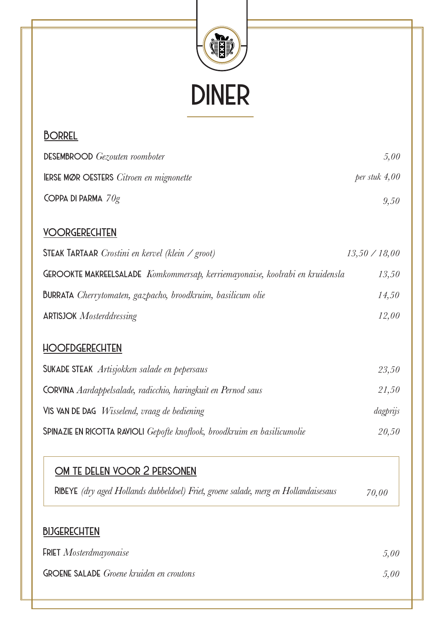

| <b>DESEMBROOD</b> Gezouten roomboter                                         | 5,00                 |
|------------------------------------------------------------------------------|----------------------|
| <b>IERSE MØR OESTERS</b> Citroen en mignonette                               | $per$ stuk 4,00      |
| COPPA DI PARMA $70g$                                                         | 9,50                 |
| <b>VOORGERECHTEN</b>                                                         |                      |
| <b>STEAK TARTAAR</b> Crostini en kervel (klein / groot)                      | $13,50 \times 18,00$ |
| GEROOKTE MAKREELSALADE Komkommersap, kerriemayonaise, koolrabi en kruidensla | 13,50                |
| <b>BURRATA</b> Cherrytomaten, gazpacho, broodkruim, basilicum olie           | 14,50                |
| <b>ARTISJOK</b> Mosterddressing                                              | 12,00                |
| <b>HOOFDGERECHTEN</b>                                                        |                      |
| <b>SUKADE STEAK</b> Artisjokken salade en pepersaus                          | 23,50                |
| CORVINA Aardappelsalade, radicchio, haringkuit en Pernod saus                | 21,50                |
| VIS VAN DE DAG <i>Wisselend, vraag de bediening</i>                          | dagprijs             |

*Spinazie en ricotta ravioli Gepofte knoflook, broodkruim en basilicumolie 20,50*

| OM TE DELEN VOOR 2 PERSONEN                                                         |       |
|-------------------------------------------------------------------------------------|-------|
| RIBEYE (dry aged Hollands dubbeldoel) Friet, groene salade, merg en Hollandaisesaus | 70,00 |

## *bijgerechten*

*Borrel*

| <b>FRIET</b> Mosterdmayonaise                   | 5.00 |
|-------------------------------------------------|------|
| <b>GROENE SALADE</b> Groene kruiden en croutons | 5,00 |